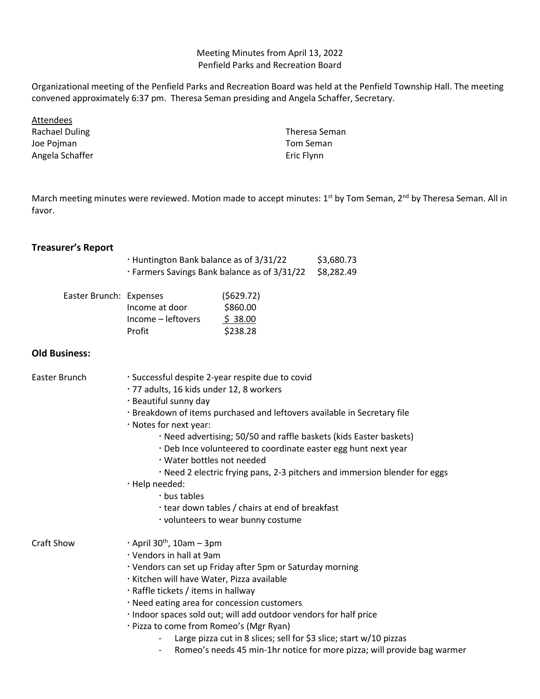Meeting Minutes from April 13, 2022 Penfield Parks and Recreation Board

Organizational meeting of the Penfield Parks and Recreation Board was held at the Penfield Township Hall. The meeting convened approximately 6:37 pm. Theresa Seman presiding and Angela Schaffer, Secretary.

**Attendees** Rachael Duling Joe Pojman Angela Schaffer

Theresa Seman Tom Seman Eric Flynn

March meeting minutes were reviewed. Motion made to accept minutes: 1<sup>st</sup> by Tom Seman, 2<sup>nd</sup> by Theresa Seman. All in favor.

## **Treasurer's Report**

| · Huntington Bank balance as of 3/31/22      | \$3,680.73 |
|----------------------------------------------|------------|
| · Farmers Savings Bank balance as of 3/31/22 | \$8,282.49 |

| Easter Brunch: Expenses |                    | (5629.72) |
|-------------------------|--------------------|-----------|
|                         | Income at door     | \$860.00  |
|                         | Income – leftovers | \$38.00   |
|                         | Profit             | \$238.28  |

## **Old Business:**

| Easter Brunch | · Successful despite 2-year respite due to covid<br>· 77 adults, 16 kids under 12, 8 workers |  |  |
|---------------|----------------------------------------------------------------------------------------------|--|--|
|               |                                                                                              |  |  |
|               | · Beautiful sunny day                                                                        |  |  |
|               | . Breakdown of items purchased and leftovers available in Secretary file                     |  |  |
|               | · Notes for next year:                                                                       |  |  |
|               | · Need advertising; 50/50 and raffle baskets (kids Easter baskets)                           |  |  |
|               | . Deb Ince volunteered to coordinate easter egg hunt next year                               |  |  |
|               | $\cdot$ Water bottles not needed                                                             |  |  |
|               | · Need 2 electric frying pans, 2-3 pitchers and immersion blender for eggs                   |  |  |
|               | · Help needed:                                                                               |  |  |
|               | $\cdot$ bus tables                                                                           |  |  |
|               | tear down tables / chairs at end of breakfast                                                |  |  |
|               | volunteers to wear bunny costume                                                             |  |  |
| Craft Show    | $\cdot$ April 30 <sup>th</sup> , 10am – 3pm                                                  |  |  |
|               | · Vendors in hall at 9am                                                                     |  |  |
|               | · Vendors can set up Friday after 5pm or Saturday morning                                    |  |  |
|               | · Kitchen will have Water, Pizza available                                                   |  |  |
|               | · Raffle tickets / items in hallway                                                          |  |  |
|               | . Need eating area for concession customers                                                  |  |  |
|               | · Indoor spaces sold out; will add outdoor vendors for half price                            |  |  |
|               | · Pizza to come from Romeo's (Mgr Ryan)                                                      |  |  |
|               | Large pizza cut in 8 slices; sell for \$3 slice; start w/10 pizzas                           |  |  |
|               |                                                                                              |  |  |

- Romeo's needs 45 min-1hr notice for more pizza; will provide bag warmer